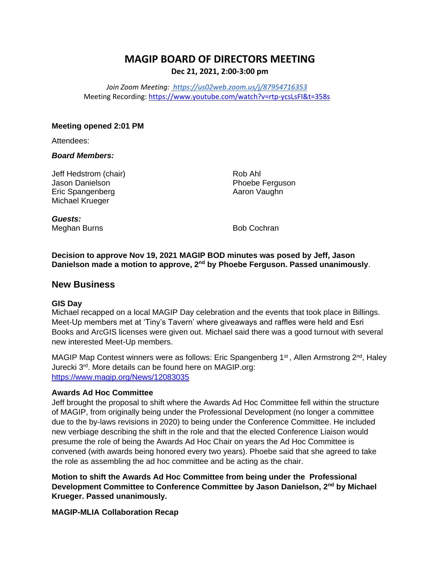# **MAGIP BOARD OF DIRECTORS MEETING Dec 21, 2021, 2:00-3:00 pm**

*Join Zoom Meeting[: https://us02web.zoom.us/j/87954716353](https://urldefense.com/v3/__https:/us02web.zoom.us/j/87954716353__;!!GaaboA!-ZorRnAwQpRCyzSjWWQGAVuNUqCYuOYv1IysjayHa0myV1qZ0IC28bPaztldfZCu$)* Meeting Recording: <https://www.youtube.com/watch?v=rtp-ycsLsFI&t=358s>

### **Meeting opened 2:01 PM**

Attendees:

### *Board Members:*

Jeff Hedstrom (chair) Jason Danielson Eric Spangenberg Michael Krueger

Rob Ahl Phoebe Ferguson Aaron Vaughn

*Guests:* Meghan Burns **Bob Cochran** Bob Cochran

**Decision to approve Nov 19, 2021 MAGIP BOD minutes was posed by Jeff, Jason Danielson made a motion to approve, 2nd by Phoebe Ferguson. Passed unanimously**.

### **New Business**

### **GIS Day**

Michael recapped on a local MAGIP Day celebration and the events that took place in Billings. Meet-Up members met at 'Tiny's Tavern' where giveaways and raffles were held and Esri Books and ArcGIS licenses were given out. Michael said there was a good turnout with several new interested Meet-Up members.

MAGIP Map Contest winners were as follows: Eric Spangenberg 1<sup>st</sup>, Allen Armstrong  $2<sup>nd</sup>$ , Haley Jurecki 3<sup>rd</sup>. More details can be found here on MAGIP.org: <https://www.magip.org/News/12083035>

### **Awards Ad Hoc Committee**

Jeff brought the proposal to shift where the Awards Ad Hoc Committee fell within the structure of MAGIP, from originally being under the Professional Development (no longer a committee due to the by-laws revisions in 2020) to being under the Conference Committee. He included new verbiage describing the shift in the role and that the elected Conference Liaison would presume the role of being the Awards Ad Hoc Chair on years the Ad Hoc Committee is convened (with awards being honored every two years). Phoebe said that she agreed to take the role as assembling the ad hoc committee and be acting as the chair.

**Motion to shift the Awards Ad Hoc Committee from being under the Professional Development Committee to Conference Committee by Jason Danielson, 2nd by Michael Krueger. Passed unanimously.**

**MAGIP-MLIA Collaboration Recap**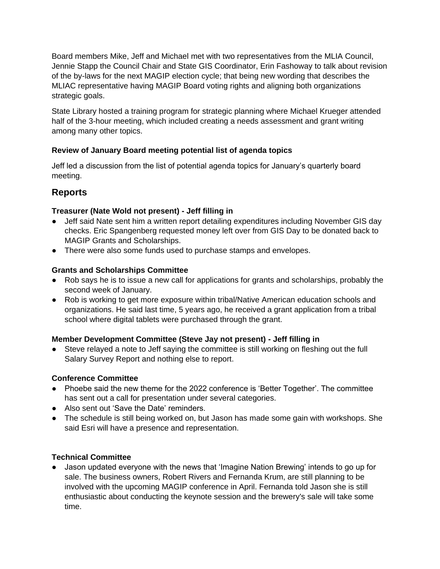Board members Mike, Jeff and Michael met with two representatives from the MLIA Council, Jennie Stapp the Council Chair and State GIS Coordinator, Erin Fashoway to talk about revision of the by-laws for the next MAGIP election cycle; that being new wording that describes the MLIAC representative having MAGIP Board voting rights and aligning both organizations strategic goals.

State Library hosted a training program for strategic planning where Michael Krueger attended half of the 3-hour meeting, which included creating a needs assessment and grant writing among many other topics.

# **Review of January Board meeting potential list of agenda topics**

Jeff led a discussion from the list of potential agenda topics for January's quarterly board meeting.

# **Reports**

# **Treasurer (Nate Wold not present) - Jeff filling in**

- Jeff said Nate sent him a written report detailing expenditures including November GIS day checks. Eric Spangenberg requested money left over from GIS Day to be donated back to MAGIP Grants and Scholarships.
- There were also some funds used to purchase stamps and envelopes.

# **Grants and Scholarships Committee**

- Rob says he is to issue a new call for applications for grants and scholarships, probably the second week of January.
- Rob is working to get more exposure within tribal/Native American education schools and organizations. He said last time, 5 years ago, he received a grant application from a tribal school where digital tablets were purchased through the grant.

# **Member Development Committee (Steve Jay not present) - Jeff filling in**

● Steve relayed a note to Jeff saying the committee is still working on fleshing out the full Salary Survey Report and nothing else to report.

# **Conference Committee**

- Phoebe said the new theme for the 2022 conference is 'Better Together'. The committee has sent out a call for presentation under several categories.
- Also sent out 'Save the Date' reminders.
- The schedule is still being worked on, but Jason has made some gain with workshops. She said Esri will have a presence and representation.

# **Technical Committee**

● Jason updated everyone with the news that 'Imagine Nation Brewing' intends to go up for sale. The business owners, Robert Rivers and Fernanda Krum, are still planning to be involved with the upcoming MAGIP conference in April. Fernanda told Jason she is still enthusiastic about conducting the keynote session and the brewery's sale will take some time.